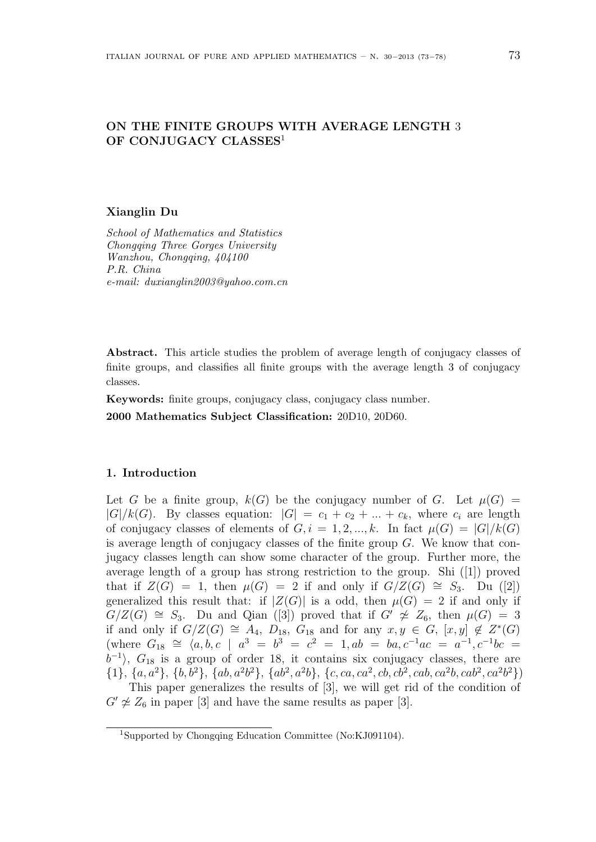# **ON THE FINITE GROUPS WITH AVERAGE LENGTH** 3 **OF CONJUGACY CLASSES**<sup>1</sup>

#### **Xianglin Du**

*School of Mathematics and Statistics Chongqing Three Gorges University Wanzhou, Chongqing, 404100 P.R. China e-mail: duxianglin2003@yahoo.com.cn*

**Abstract.** This article studies the problem of average length of conjugacy classes of finite groups, and classifies all finite groups with the average length 3 of conjugacy classes.

**Keywords:** finite groups, conjugacy class, conjugacy class number.

**2000 Mathematics Subject Classification:** 20D10, 20D60.

# **1. Introduction**

Let *G* be a finite group,  $k(G)$  be the conjugacy number of *G*. Let  $\mu(G)$  =  $|G|/k(G)$ . By classes equation:  $|G| = c_1 + c_2 + ... + c_k$ , where  $c_i$  are length of conjugacy classes of elements of  $G, i = 1, 2, ..., k$ . In fact  $\mu(G) = |G|/k(G)$ is average length of conjugacy classes of the finite group *G*. We know that conjugacy classes length can show some character of the group. Further more, the average length of a group has strong restriction to the group. Shi ([1]) proved that if  $Z(G) = 1$ , then  $\mu(G) = 2$  if and only if  $G/Z(G) \cong S_3$ . Du ([2]) generalized this result that: if  $|Z(G)|$  is a odd, then  $\mu(G) = 2$  if and only if *G*/*Z*(*G*)  $\cong$  *S*<sub>3</sub>. Du and Qian ([3]) proved that if *G<sup><i>'*</sup>  $\neq$  *Z*<sub>6</sub>, then  $\mu$ (*G*) = 3 if and only if  $G/Z(G) \cong A_4$ ,  $D_{18}$ ,  $G_{18}$  and for any  $x, y \in G$ ,  $[x, y] \notin Z^*(G)$  $G_{18} \cong \langle a, b, c \mid a^3 = b^3 = c^2 = 1, ab = ba, c^{-1}ac = a^{-1}, c^{-1}bc =$  $b^{-1}$ ,  $G_{18}$  is a group of order 18, it contains six conjugacy classes, there are  $\{1\}, \{a, a^2\}, \{b, b^2\}, \{ab, a^2b^2\}, \{ab^2, a^2b\}, \{c, ca, ca^2, cb, cb^2, cab, ca^2b, cab^2, ca^2b^2\})$ This paper generalizes the results of [3], we will get rid of the condition of

 $G' \not\cong Z_6$  in paper [3] and have the same results as paper [3].

<sup>1</sup>Supported by Chongqing Education Committee (No:KJ091104).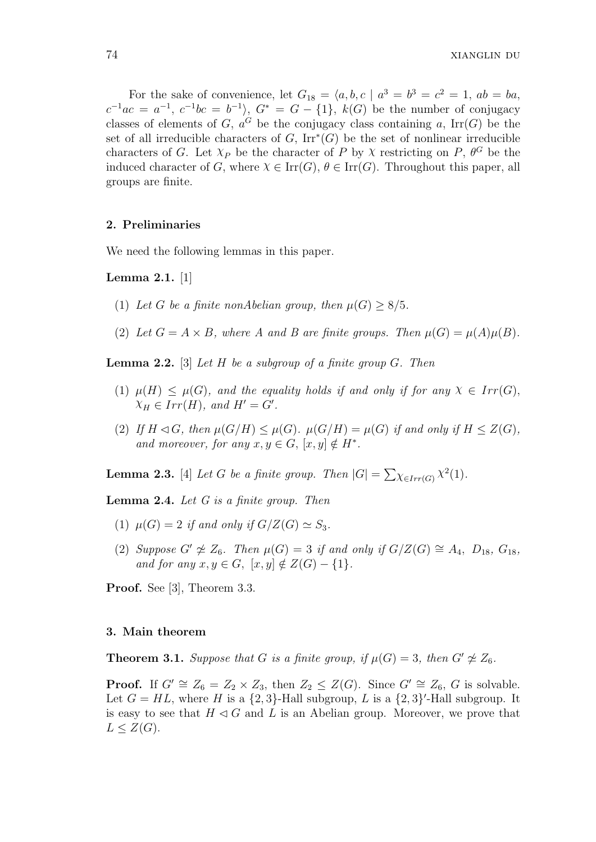For the sake of convenience, let  $G_{18} = \langle a, b, c \mid a^3 = b^3 = c^2 = 1, ab = ba$ ,  $c^{-1}ac = a^{-1}, c^{-1}bc = b^{-1}$ ,  $G^* = G - \{1\}, k(G)$  be the number of conjugacy classes of elements of *G*,  $a^G$  be the conjugacy class containing *a*, Irr(*G*) be the set of all irreducible characters of *G*, Irr*<sup>∗</sup>* (*G*) be the set of nonlinear irreducible characters of *G*. Let  $X_P$  be the character of *P* by *X* restricting on *P*,  $\theta^G$  be the induced character of *G*, where  $\chi \in \text{Irr}(G)$ ,  $\theta \in \text{Irr}(G)$ . Throughout this paper, all groups are finite.

# **2. Preliminaries**

We need the following lemmas in this paper.

**Lemma 2.1.** [1]

- (1) Let *G* be a finite nonAbelian group, then  $\mu(G) \geq 8/5$ .
- (2) Let  $G = A \times B$ , where A and B are finite groups. Then  $\mu(G) = \mu(A)\mu(B)$ .

**Lemma 2.2.** [3] *Let H be a subgroup of a finite group G. Then*

- (1)  $\mu(H) \leq \mu(G)$ , and the equality holds if and only if for any  $\chi \in Irr(G)$ ,  $\chi_H \in Irr(H)$ , and  $H' = G'$ .
- (2) If  $H \lhd G$ , then  $\mu(G/H) \leq \mu(G)$ .  $\mu(G/H) = \mu(G)$  if and only if  $H \leq Z(G)$ , *and moreover, for any*  $x, y \in G$ ,  $[x, y] \notin H^*$ .

**Lemma 2.3.** [4] *Let G be a finite group. Then*  $|G| = \sum_{\chi \in Irr(G)} \chi^2(1)$ *.* 

**Lemma 2.4.** *Let G is a finite group. Then*

- (1)  $\mu(G) = 2$  *if and only if*  $G/Z(G) \simeq S_3$ .
- (2) *Suppose*  $G' \not\cong Z_6$ *. Then*  $\mu(G) = 3$  *if and only if*  $G/Z(G) \cong A_4$ *,*  $D_{18}$ *,*  $G_{18}$ *, and for any*  $x, y \in G$ ,  $[x, y] \notin Z(G) - \{1\}$ *.*

**Proof.** See [3], Theorem 3.3.

# **3. Main theorem**

**Theorem 3.1.** *Suppose that G is a finite group, if*  $\mu(G) = 3$ *, then*  $G' \not\cong Z_6$ *.* 

**Proof.** If  $G' \cong Z_6 = Z_2 \times Z_3$ , then  $Z_2 \leq Z(G)$ . Since  $G' \cong Z_6$ , G is solvable. Let  $G = HL$ , where  $H$  is a  $\{2,3\}$ -Hall subgroup,  $L$  is a  $\{2,3\}'$ -Hall subgroup. It is easy to see that  $H \triangleleft G$  and *L* is an Abelian group. Moreover, we prove that  $L \leq Z(G)$ .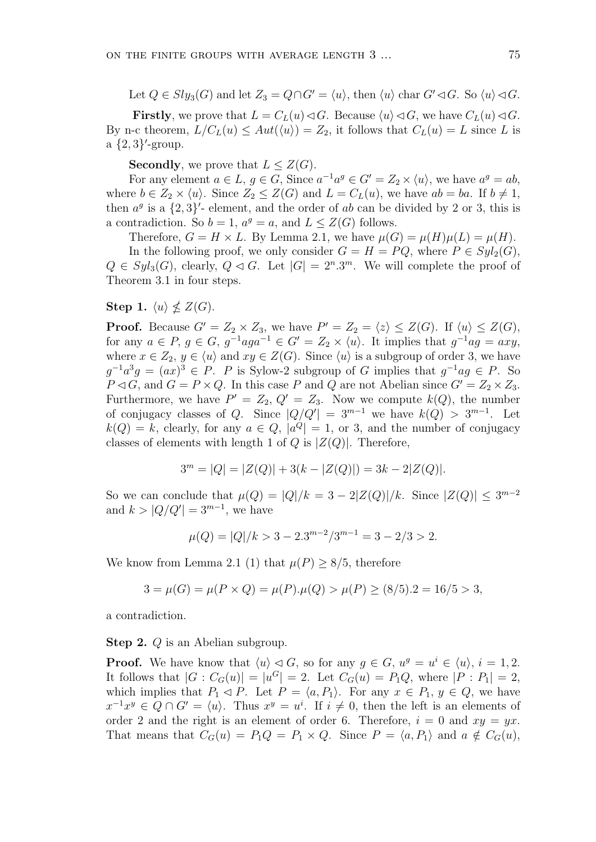Let  $Q \in Sly_3(G)$  and let  $Z_3 = Q \cap G' = \langle u \rangle$ , then  $\langle u \rangle$  char  $G' \triangleleft G$ . So  $\langle u \rangle \triangleleft G$ .

**Firstly**, we prove that  $L = C_L(u) \triangleleft G$ . Because  $\langle u \rangle \triangleleft G$ , we have  $C_L(u) \triangleleft G$ . By n-c theorem,  $L/C_L(u) \leq Aut(\langle u \rangle) = Z_2$ , it follows that  $C_L(u) = L$  since *L* is a *{*2*,* 3*} ′* -group.

**Secondly**, we prove that  $L \leq Z(G)$ .

For any element  $a \in L$ ,  $g \in G$ , Since  $a^{-1}a^g \in G' = Z_2 \times \langle u \rangle$ , we have  $a^g = ab$ , where  $b \in Z_2 \times \langle u \rangle$ . Since  $Z_2 \leq Z(G)$  and  $L = C_L(u)$ , we have  $ab = ba$ . If  $b \neq 1$ , then  $a^g$  is a  $\{2,3\}'$ - element, and the order of *ab* can be divided by 2 or 3, this is a contradiction. So  $b = 1$ ,  $a^g = a$ , and  $L \leq Z(G)$  follows.

Therefore,  $G = H \times L$ . By Lemma 2.1, we have  $\mu(G) = \mu(H)\mu(L) = \mu(H)$ .

In the following proof, we only consider  $G = H = PQ$ , where  $P \in Syl_2(G)$ ,  $Q \in Syl_3(G)$ , clearly,  $Q \triangleleft G$ . Let  $|G| = 2^n \cdot 3^m$ . We will complete the proof of Theorem 3.1 in four steps.

Step 1.  $\langle u \rangle \nleq Z(G)$ .

**Proof.** Because  $G' = Z_2 \times Z_3$ , we have  $P' = Z_2 = \langle z \rangle \leq Z(G)$ . If  $\langle u \rangle \leq Z(G)$ , for any  $a \in P$ ,  $g \in G$ ,  $g^{-1}aga^{-1} \in G' = Z_2 \times \langle u \rangle$ . It implies that  $g^{-1}ag = axy$ , where  $x \in Z_2$ ,  $y \in \langle u \rangle$  and  $xy \in Z(G)$ . Since  $\langle u \rangle$  is a subgroup of order 3, we have  $g^{-1}a^3g = (ax)^3 \in P$ . *P* is Sylow-2 subgroup of *G* implies that  $g^{-1}ag \in P$ . So  $P \lhd G$ , and  $G = P \times Q$ . In this case *P* and *Q* are not Abelian since  $G' = Z_2 \times Z_3$ . Furthermore, we have  $P' = Z_2, Q' = Z_3$ . Now we compute  $k(Q)$ , the number of conjugacy classes of *Q*. Since  $|Q/Q'| = 3^{m-1}$  we have  $k(Q) > 3^{m-1}$ . Let  $k(Q) = k$ , clearly, for any  $a \in Q$ ,  $|a^Q| = 1$ , or 3, and the number of conjugacy classes of elements with length 1 of *Q* is  $|Z(Q)|$ . Therefore,

$$
3m = |Q| = |Z(Q)| + 3(k - |Z(Q)|) = 3k - 2|Z(Q)|.
$$

So we can conclude that  $\mu(Q) = |Q|/k = 3 - 2|Z(Q)|/k$ . Since  $|Z(Q)| \leq 3^{m-2}$ and  $k > |Q/Q'| = 3^{m-1}$ , we have

$$
\mu(Q) = |Q|/k > 3 - 2 \cdot 3^{m-2}/3^{m-1} = 3 - 2/3 > 2.
$$

We know from Lemma 2.1 (1) that  $\mu(P) \geq 8/5$ , therefore

$$
3 = \mu(G) = \mu(P \times Q) = \mu(P) \cdot \mu(Q) > \mu(P) \ge (8/5) \cdot 2 = 16/5 > 3,
$$

a contradiction.

**Step 2.** *Q* is an Abelian subgroup.

**Proof.** We have know that  $\langle u \rangle \langle G \rangle$ , so for any  $g \in G$ ,  $u^g = u^i \in \langle u \rangle$ ,  $i = 1, 2$ . It follows that  $|G : C_G(u)| = |u^G| = 2$ . Let  $C_G(u) = P_1 Q$ , where  $|P : P_1| = 2$ , which implies that  $P_1 \triangleleft P$ . Let  $P = \langle a, P_1 \rangle$ . For any  $x \in P_1, y \in Q$ , we have  $x^{-1}x^y \in Q \cap G' = \langle u \rangle$ . Thus  $x^y = u^i$ . If  $i \neq 0$ , then the left is an elements of order 2 and the right is an element of order 6. Therefore,  $i = 0$  and  $xy = yx$ . That means that  $C_G(u) = P_1 Q = P_1 \times Q$ . Since  $P = \langle a, P_1 \rangle$  and  $a \notin C_G(u)$ ,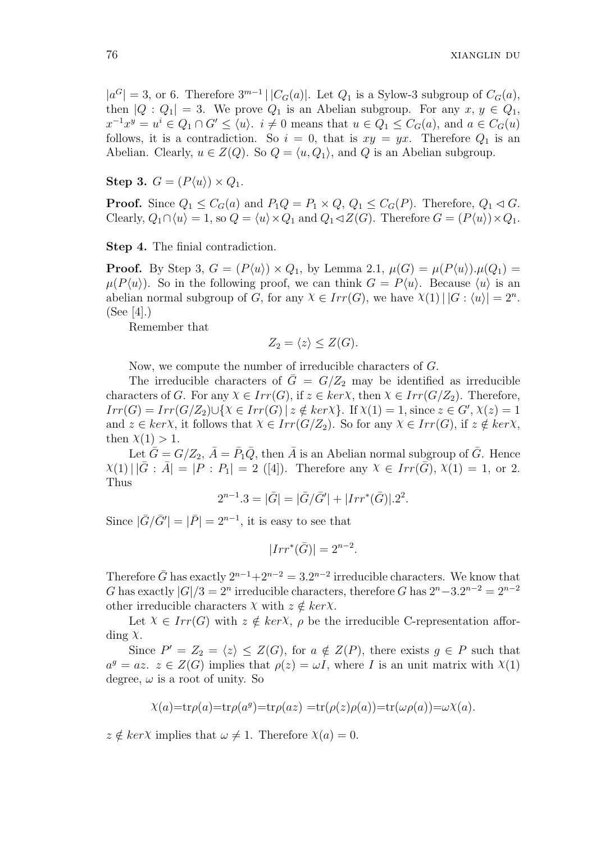$|a^G| = 3$ , or 6. Therefore  $3^{m-1}$  |  $|C_G(a)|$ . Let  $Q_1$  is a Sylow-3 subgroup of  $C_G(a)$ , then  $|Q:Q_1|=3$ . We prove  $Q_1$  is an Abelian subgroup. For any  $x, y \in Q_1$ ,  $x^{-1}x^y = u^i \in Q_1 \cap G' \le \langle u \rangle$ .  $i \neq 0$  means that  $u \in Q_1 \le C_G(a)$ , and  $a \in C_G(u)$ follows, it is a contradiction. So  $i = 0$ , that is  $xy = yx$ . Therefore  $Q_1$  is an Abelian. Clearly,  $u \in Z(Q)$ . So  $Q = \langle u, Q_1 \rangle$ , and Q is an Abelian subgroup.

**Step 3.**  $G = (P\langle u \rangle) \times Q_1$ .

**Proof.** Since  $Q_1 \leq C_G(a)$  and  $P_1Q = P_1 \times Q$ ,  $Q_1 \leq C_G(P)$ . Therefore,  $Q_1 \triangleleft G$ . Clearly,  $Q_1 \cap \langle u \rangle = 1$ , so  $Q = \langle u \rangle \times Q_1$  and  $Q_1 \triangleleft Z(G)$ . Therefore  $G = (P\langle u \rangle) \times Q_1$ .

**Step 4.** The finial contradiction.

**Proof.** By Step 3,  $G = (P\langle u \rangle) \times Q_1$ , by Lemma 2.1,  $\mu(G) = \mu(P\langle u \rangle) \cdot \mu(Q_1) =$  $\mu(P\langle u \rangle)$ . So in the following proof, we can think  $G = P\langle u \rangle$ . Because  $\langle u \rangle$  is an abelian normal subgroup of *G*, for any  $\chi \in Irr(G)$ , we have  $\chi(1) | |G:\langle u \rangle| = 2^n$ . (See [4].)

Remember that

$$
Z_2 = \langle z \rangle \leq Z(G).
$$

Now, we compute the number of irreducible characters of *G*.

The irreducible characters of  $\overline{G} = G/Z_2$  may be identified as irreducible characters of *G*. For any  $\chi \in Irr(G)$ , if  $z \in ker\chi$ , then  $\chi \in Irr(G/Z_2)$ . Therefore,  $Irr(G) = Irr(G/Z_2) \cup \{X \in Irr(G) \mid z \notin kerX\}.$  If  $X(1) = 1$ , since  $z \in G', X(z) = 1$ and  $z \in \text{ker}\chi$ , it follows that  $\chi \in \text{Irr}(G/Z_2)$ . So for any  $\chi \in \text{Irr}(G)$ , if  $z \notin \text{ker}\chi$ , then  $\chi(1) > 1$ .

Let  $\bar{G} = G/Z_2$ ,  $\bar{A} = \bar{P}_1 \bar{Q}$ , then  $\bar{A}$  is an Abelian normal subgroup of  $\bar{G}$ . Hence  $\chi(1) | |\bar{G} : \bar{A}| = |P : P_1| = 2 (4|).$  Therefore any  $\chi \in Irr(\bar{G}), \chi(1) = 1$ , or 2. Thus

$$
2^{n-1} \cdot 3 = |\bar{G}| = |\bar{G}/\bar{G}'| + |Irr^*(\bar{G})| \cdot 2^2.
$$

Since  $|\bar{G}/\bar{G}'| = |\bar{P}| = 2^{n-1}$ , it is easy to see that

 $|Irr^*(\bar{G})| = 2^{n-2}$ .

Therefore  $\bar{G}$  has exactly  $2^{n-1}+2^{n-2}=3 \cdot 2^{n-2}$  irreducible characters. We know that *G* has exactly  $|G|/3 = 2^n$  irreducible characters, therefore *G* has  $2^n - 3 \cdot 2^{n-2} = 2^{n-2}$ other irreducible characters  $\chi$  with  $z \notin \text{ker}\chi$ .

Let  $\chi \in Irr(G)$  with  $z \notin ker\chi$ ,  $\rho$  be the irreducible C-representation affording *χ*.

Since  $P' = Z_2 = \langle z \rangle \leq Z(G)$ , for  $a \notin Z(P)$ , there exists  $g \in P$  such that  $a^g = az$ .  $z \in Z(G)$  implies that  $\rho(z) = \omega I$ , where *I* is an unit matrix with  $\chi(1)$ degree,  $\omega$  is a root of unity. So

$$
\chi(a)=\text{tr}\rho(a)=\text{tr}\rho(a^g)=\text{tr}\rho(a z)=\text{tr}(\rho(z)\rho(a))=\text{tr}(\omega\rho(a))=\omega\chi(a).
$$

 $z \notin ker\chi$  implies that  $\omega \neq 1$ . Therefore  $\chi(a) = 0$ .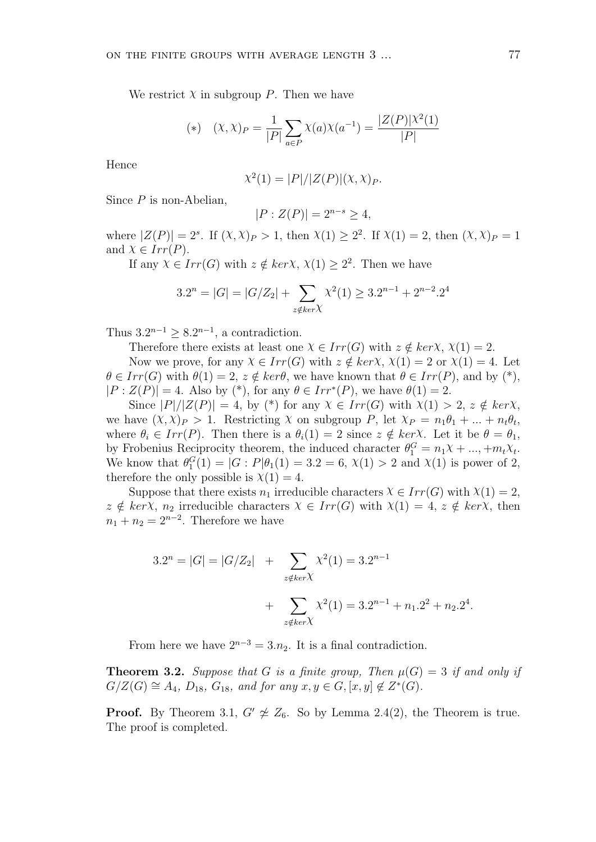We restrict  $\chi$  in subgroup  $P$ . Then we have

(\*) 
$$
(X, X)_P = \frac{1}{|P|} \sum_{a \in P} \chi(a) \chi(a^{-1}) = \frac{|Z(P)| \chi^2(1)}{|P|}
$$

Hence

$$
\chi^2(1) = |P|/|Z(P)|(\chi, \chi)_P.
$$

Since *P* is non-Abelian,

$$
|P:Z(P)| = 2^{n-s} \ge 4,
$$

where  $|Z(P)| = 2^s$ . If  $(\chi, \chi)_P > 1$ , then  $\chi(1) \geq 2^2$ . If  $\chi(1) = 2$ , then  $(\chi, \chi)_P = 1$ and  $X \in Irr(P)$ .

If any  $\chi \in Irr(G)$  with  $z \notin ker\chi$ ,  $\chi(1) \geq 2^2$ . Then we have

$$
3.2^{n} = |G| = |G/Z_2| + \sum_{z \notin ker\chi} \chi^2(1) \ge 3.2^{n-1} + 2^{n-2} \cdot 2^4
$$

Thus  $3.2^{n-1} \geq 8.2^{n-1}$ , a contradiction.

Therefore there exists at least one  $\chi \in Irr(G)$  with  $z \notin ker\chi$ ,  $\chi(1) = 2$ .

Now we prove, for any  $\chi \in Irr(G)$  with  $z \notin ker\chi$ ,  $\chi(1) = 2$  or  $\chi(1) = 4$ . Let  $\theta \in Irr(G)$  with  $\theta(1) = 2$ ,  $z \notin ker\theta$ , we have known that  $\theta \in Irr(P)$ , and by (\*),  $|P : Z(P)| = 4$ . Also by (\*), for any  $\theta \in Irr^*(P)$ , we have  $\theta(1) = 2$ .

Since  $|P|/|Z(P)| = 4$ , by (\*) for any  $\chi \in Irr(G)$  with  $\chi(1) > 2$ ,  $z \notin ker\chi$ , we have  $(\chi, \chi)_P > 1$ . Restricting  $\chi$  on subgroup  $P$ , let  $\chi_P = n_1 \theta_1 + ... + n_t \theta_t$ , where  $\theta_i \in Irr(P)$ . Then there is a  $\theta_i(1) = 2$  since  $z \notin ker\chi$ . Let it be  $\theta = \theta_1$ , by Frobenius Reciprocity theorem, the induced character  $\theta_1^G = n_1 \chi + ..., + m_t \chi_t$ . We know that  $\theta_1^G(1) = |G : P|\theta_1(1) = 3.2 = 6, \chi(1) > 2$  and  $\chi(1)$  is power of 2, therefore the only possible is  $\chi(1) = 4$ .

Suppose that there exists  $n_1$  irreducible characters  $\chi \in Irr(G)$  with  $\chi(1) = 2$ ,  $z \notin ker\chi$ ,  $n_2$  irreducible characters  $\chi \in Irr(G)$  with  $\chi(1) = 4$ ,  $z \notin ker\chi$ , then  $n_1 + n_2 = 2^{n-2}$ . Therefore we have

$$
3.2^{n} = |G| = |G/Z_{2}| + \sum_{z \notin ker\chi} \chi^{2}(1) = 3.2^{n-1} + \sum_{z \notin ker\chi} \chi^{2}(1) = 3.2^{n-1} + n_{1}.2^{2} + n_{2}.2^{4}.
$$

From here we have  $2^{n-3} = 3 \cdot n_2$ . It is a final contradiction.

**Theorem 3.2.** *Suppose that G is a finite group, Then*  $\mu(G) = 3$  *if and only if*  $G/Z(G) \cong A_4$ ,  $D_{18}$ ,  $G_{18}$ , and for any  $x, y \in G$ ,  $[x, y] \notin Z^*(G)$ .

**Proof.** By Theorem 3.1,  $G' \not\cong Z_6$ . So by Lemma 2.4(2), the Theorem is true. The proof is completed.